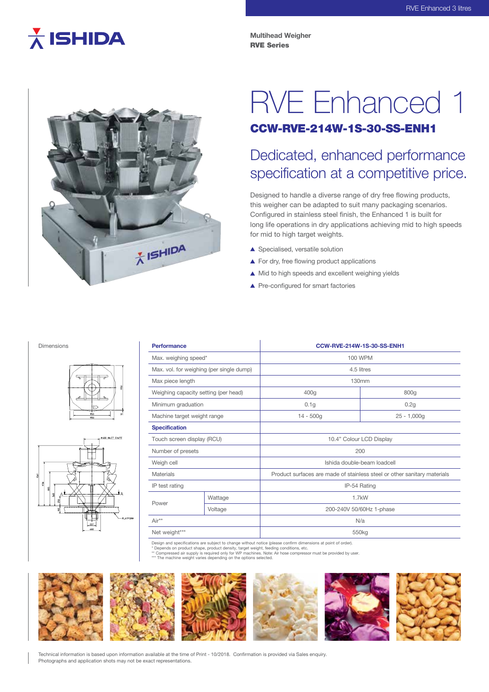# $\overline{\lambda}$  ISHIDA

**Multihead Weigher** RVE Series



# RVE Enhanced 1

### CCW-RVE-214W-1S-30-SS-ENH1

## Dedicated, enhanced performance specification at a competitive price.

Designed to handle a diverse range of dry free flowing products, this weigher can be adapted to suit many packaging scenarios. Configured in stainless steel finish, the Enhanced 1 is built for long life operations in dry applications achieving mid to high speeds for mid to high target weights.

- ▲ Specialised, versatile solution
- ▲ For dry, free flowing product applications
- ▲ Mid to high speeds and excellent weighing yields
- ▲ Pre-configured for smart factories

#### Dimensions





| <b>Performance</b>                       |         | CCW-RVE-214W-1S-30-SS-ENH1                                               |               |
|------------------------------------------|---------|--------------------------------------------------------------------------|---------------|
| Max. weighing speed*                     |         | <b>100 WPM</b>                                                           |               |
| Max. vol. for weighing (per single dump) |         | 4.5 litres                                                               |               |
| Max piece length                         |         | 130mm                                                                    |               |
| Weighing capacity setting (per head)     |         | 400q                                                                     | 800g          |
| Minimum graduation                       |         | 0.1 <sub>g</sub>                                                         | 0.2g          |
| Machine target weight range              |         | $14 - 500q$                                                              | $25 - 1,000q$ |
| <b>Specification</b>                     |         |                                                                          |               |
| Touch screen display (RCU)               |         | 10.4" Colour LCD Display                                                 |               |
| Number of presets                        |         | 200                                                                      |               |
| Weigh cell                               |         | Ishida double-beam loadcell                                              |               |
| Materials                                |         | Product surfaces are made of stainless steel or other sanitary materials |               |
| IP test rating                           |         | IP-54 Rating                                                             |               |
|                                          | Wattage | $1.7$ kW                                                                 |               |
| Power                                    | Voltage | 200-240V 50/60Hz 1-phase                                                 |               |
| Air**                                    |         | N/a                                                                      |               |
| Net weight***                            |         | 550 <sub>kg</sub>                                                        |               |

Design and specifications are subject to change without notice (please confirm dimensions at point of order).<br>\* Depends on product shape, product density target weight, feeding conditions, atc.

\* Depends on product shape, product density, target weight, feeding conditions, etc.<br>\*\* Compressed air supply is required only for WP machines. Note: Air hose compressor must be provided by user.<br>\*\*\* The machine weight var



Technical information is based upon information available at the time of Print - 10/2018. Confirmation is provided via Sales enquiry. Photographs and application shots may not be exact representations.